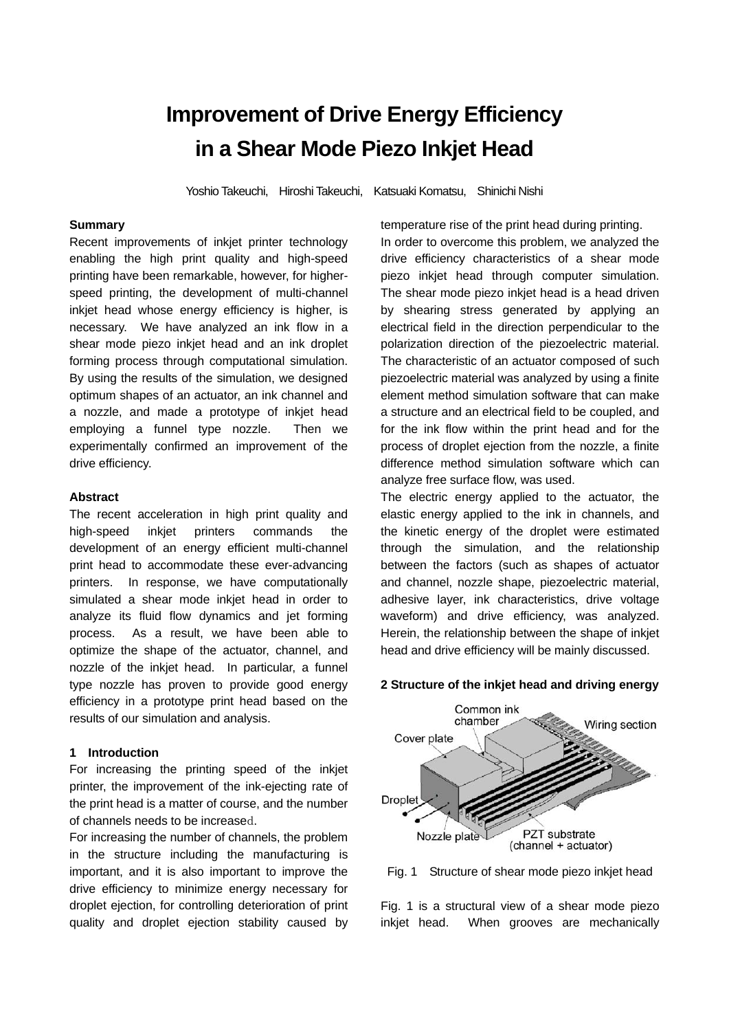# **Improvement of Drive Energy Efficiency in a Shear Mode Piezo Inkjet Head**

Yoshio Takeuchi, Hiroshi Takeuchi, Katsuaki Komatsu, Shinichi Nishi

# **Summary**

Recent improvements of inkjet printer technology enabling the high print quality and high-speed printing have been remarkable, however, for higherspeed printing, the development of multi-channel inkjet head whose energy efficiency is higher, is necessary. We have analyzed an ink flow in a shear mode piezo inkiet head and an ink droplet forming process through computational simulation. By using the results of the simulation, we designed optimum shapes of an actuator, an ink channel and a nozzle, and made a prototype of inkjet head employing a funnel type nozzle. Then we experimentally confirmed an improvement of the drive efficiency.

#### **Abstract**

The recent acceleration in high print quality and high-speed inkjet printers commands the development of an energy efficient multi-channel print head to accommodate these ever-advancing printers. In response, we have computationally simulated a shear mode inkjet head in order to analyze its fluid flow dynamics and jet forming process. As a result, we have been able to optimize the shape of the actuator, channel, and nozzle of the inkjet head. In particular, a funnel type nozzle has proven to provide good energy efficiency in a prototype print head based on the results of our simulation and analysis.

#### **1 Introduction**

For increasing the printing speed of the inkjet printer, the improvement of the ink-ejecting rate of the print head is a matter of course, and the number of channels needs to be increased.

For increasing the number of channels, the problem in the structure including the manufacturing is important, and it is also important to improve the drive efficiency to minimize energy necessary for droplet ejection, for controlling deterioration of print quality and droplet ejection stability caused by temperature rise of the print head during printing.

In order to overcome this problem, we analyzed the drive efficiency characteristics of a shear mode piezo inkjet head through computer simulation. The shear mode piezo inkjet head is a head driven by shearing stress generated by applying an electrical field in the direction perpendicular to the polarization direction of the piezoelectric material. The characteristic of an actuator composed of such piezoelectric material was analyzed by using a finite element method simulation software that can make a structure and an electrical field to be coupled, and for the ink flow within the print head and for the process of droplet ejection from the nozzle, a finite difference method simulation software which can analyze free surface flow, was used.

The electric energy applied to the actuator, the elastic energy applied to the ink in channels, and the kinetic energy of the droplet were estimated through the simulation, and the relationship between the factors (such as shapes of actuator and channel, nozzle shape, piezoelectric material, adhesive layer, ink characteristics, drive voltage waveform) and drive efficiency, was analyzed. Herein, the relationship between the shape of inkjet head and drive efficiency will be mainly discussed.

#### **2 Structure of the inkjet head and driving energy**



Fig. 1 Structure of shear mode piezo inkjet head

Fig. 1 is a structural view of a shear mode piezo inkjet head. When grooves are mechanically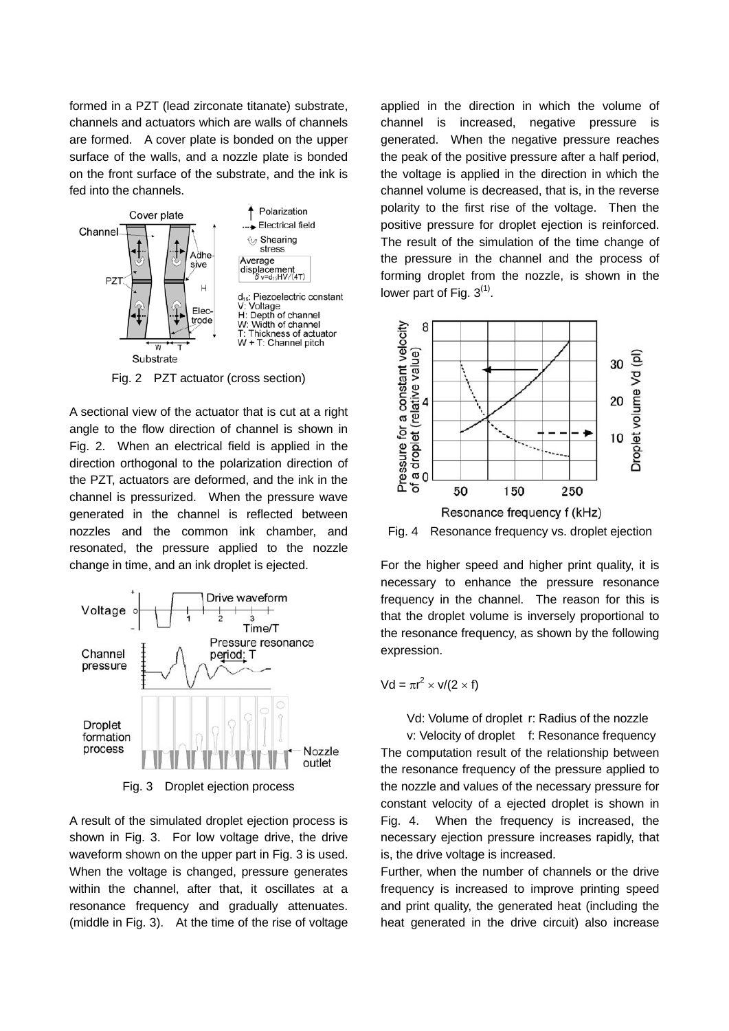formed in a PZT (lead zirconate titanate) substrate, channels and actuators which are walls of channels are formed. A cover plate is bonded on the upper surface of the walls, and a nozzle plate is bonded on the front surface of the substrate, and the ink is fed into the channels.



Fig. 2 PZT actuator (cross section)

A sectional view of the actuator that is cut at a right angle to the flow direction of channel is shown in Fig. 2. When an electrical field is applied in the direction orthogonal to the polarization direction of the PZT, actuators are deformed, and the ink in the channel is pressurized. When the pressure wave generated in the channel is reflected between nozzles and the common ink chamber, and resonated, the pressure applied to the nozzle change in time, and an ink droplet is ejected.



Fig. 3 Droplet ejection process

A result of the simulated droplet ejection process is shown in Fig. 3. For low voltage drive, the drive waveform shown on the upper part in Fig. 3 is used. When the voltage is changed, pressure generates within the channel, after that, it oscillates at a resonance frequency and gradually attenuates. (middle in Fig. 3). At the time of the rise of voltage

applied in the direction in which the volume of channel is increased, negative pressure is generated. When the negative pressure reaches the peak of the positive pressure after a half period, the voltage is applied in the direction in which the channel volume is decreased, that is, in the reverse polarity to the first rise of the voltage. Then the positive pressure for droplet ejection is reinforced. The result of the simulation of the time change of the pressure in the channel and the process of forming droplet from the nozzle, is shown in the lower part of Fig.  $3<sup>(1)</sup>$ .



Fig. 4 Resonance frequency vs. droplet ejection

For the higher speed and higher print quality, it is necessary to enhance the pressure resonance frequency in the channel. The reason for this is that the droplet volume is inversely proportional to the resonance frequency, as shown by the following expression.

$$
Vd = \pi r^2 \times v/(2 \times f)
$$

Vd: Volume of droplet r: Radius of the nozzle

 v: Velocity of droplet f: Resonance frequency The computation result of the relationship between the resonance frequency of the pressure applied to the nozzle and values of the necessary pressure for constant velocity of a ejected droplet is shown in Fig. 4. When the frequency is increased, the necessary ejection pressure increases rapidly, that is, the drive voltage is increased.

Further, when the number of channels or the drive frequency is increased to improve printing speed and print quality, the generated heat (including the heat generated in the drive circuit) also increase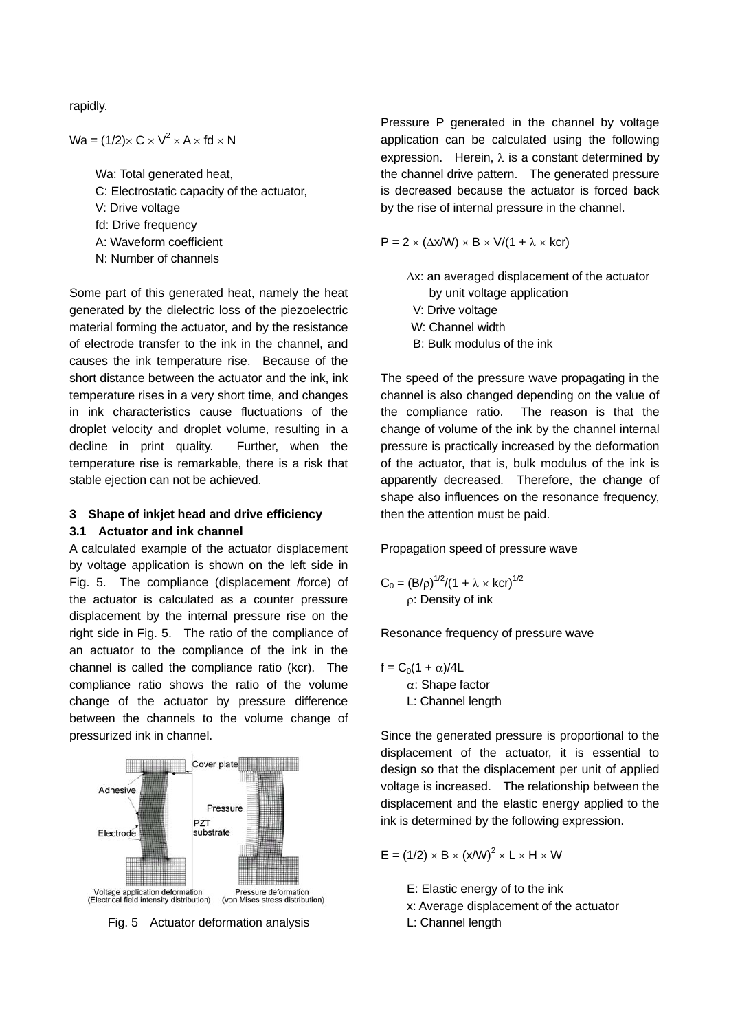rapidly.

Wa =  $(1/2) \times C \times V^2 \times A \times fd \times N$ 

 Wa: Total generated heat, C: Electrostatic capacity of the actuator, V: Drive voltage fd: Drive frequency A: Waveform coefficient N: Number of channels

Some part of this generated heat, namely the heat generated by the dielectric loss of the piezoelectric material forming the actuator, and by the resistance of electrode transfer to the ink in the channel, and causes the ink temperature rise. Because of the short distance between the actuator and the ink, ink temperature rises in a very short time, and changes in ink characteristics cause fluctuations of the droplet velocity and droplet volume, resulting in a decline in print quality. Further, when the temperature rise is remarkable, there is a risk that stable ejection can not be achieved.

# **3 Shape of inkjet head and drive efficiency**

## **3.1 Actuator and ink channel**

A calculated example of the actuator displacement by voltage application is shown on the left side in Fig. 5. The compliance (displacement /force) of the actuator is calculated as a counter pressure displacement by the internal pressure rise on the right side in Fig. 5. The ratio of the compliance of an actuator to the compliance of the ink in the channel is called the compliance ratio (kcr). The compliance ratio shows the ratio of the volume change of the actuator by pressure difference between the channels to the volume change of pressurized ink in channel.



Fig. 5 Actuator deformation analysis

Pressure P generated in the channel by voltage application can be calculated using the following expression. Herein, λ is a constant determined by the channel drive pattern. The generated pressure is decreased because the actuator is forced back by the rise of internal pressure in the channel.

 $P = 2 \times (\Delta x/W) \times B \times V/(1 + \lambda \times kcr)$ 

Δx: an averaged displacement of the actuator by unit voltage application V: Drive voltage W: Channel width B: Bulk modulus of the ink

The speed of the pressure wave propagating in the channel is also changed depending on the value of the compliance ratio. The reason is that the change of volume of the ink by the channel internal pressure is practically increased by the deformation of the actuator, that is, bulk modulus of the ink is apparently decreased. Therefore, the change of shape also influences on the resonance frequency, then the attention must be paid.

## Propagation speed of pressure wave

$$
C_0 = (B/\rho)^{1/2}/(1 + \lambda \times \text{ker})^{1/2}
$$
  
 
$$
\rho: Density \text{ of ink}
$$

Resonance frequency of pressure wave

$$
f = C_0(1 + \alpha)/4L
$$
  

$$
\alpha
$$
: Shape factor  

$$
L
$$
: Channel length

Since the generated pressure is proportional to the displacement of the actuator, it is essential to design so that the displacement per unit of applied voltage is increased. The relationship between the displacement and the elastic energy applied to the ink is determined by the following expression.

$$
E = (1/2) \times B \times (x/W)^2 \times L \times H \times W
$$

 E: Elastic energy of to the ink x: Average displacement of the actuator

L: Channel length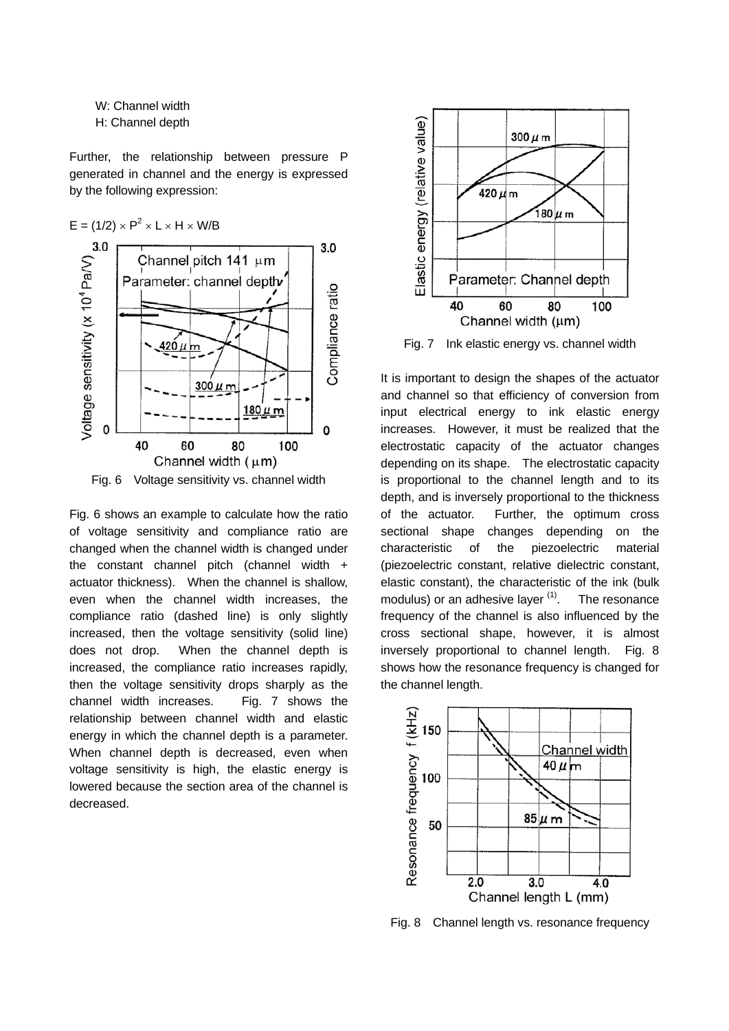W: Channel width H: Channel depth

Further, the relationship between pressure P generated in channel and the energy is expressed by the following expression:



Fig. 6 shows an example to calculate how the ratio of voltage sensitivity and compliance ratio are changed when the channel width is changed under the constant channel pitch (channel width + actuator thickness). When the channel is shallow, even when the channel width increases, the compliance ratio (dashed line) is only slightly increased, then the voltage sensitivity (solid line) does not drop. When the channel depth is increased, the compliance ratio increases rapidly, then the voltage sensitivity drops sharply as the channel width increases. Fig. 7 shows the relationship between channel width and elastic energy in which the channel depth is a parameter. When channel depth is decreased, even when voltage sensitivity is high, the elastic energy is lowered because the section area of the channel is decreased.



Fig. 7 Ink elastic energy vs. channel width

It is important to design the shapes of the actuator and channel so that efficiency of conversion from input electrical energy to ink elastic energy increases. However, it must be realized that the electrostatic capacity of the actuator changes depending on its shape. The electrostatic capacity is proportional to the channel length and to its depth, and is inversely proportional to the thickness of the actuator. Further, the optimum cross sectional shape changes depending on the characteristic of the piezoelectric material (piezoelectric constant, relative dielectric constant, elastic constant), the characteristic of the ink (bulk modulus) or an adhesive layer  $(1)$ . The resonance frequency of the channel is also influenced by the cross sectional shape, however, it is almost inversely proportional to channel length. Fig. 8 shows how the resonance frequency is changed for the channel length.



Fig. 8 Channel length vs. resonance frequency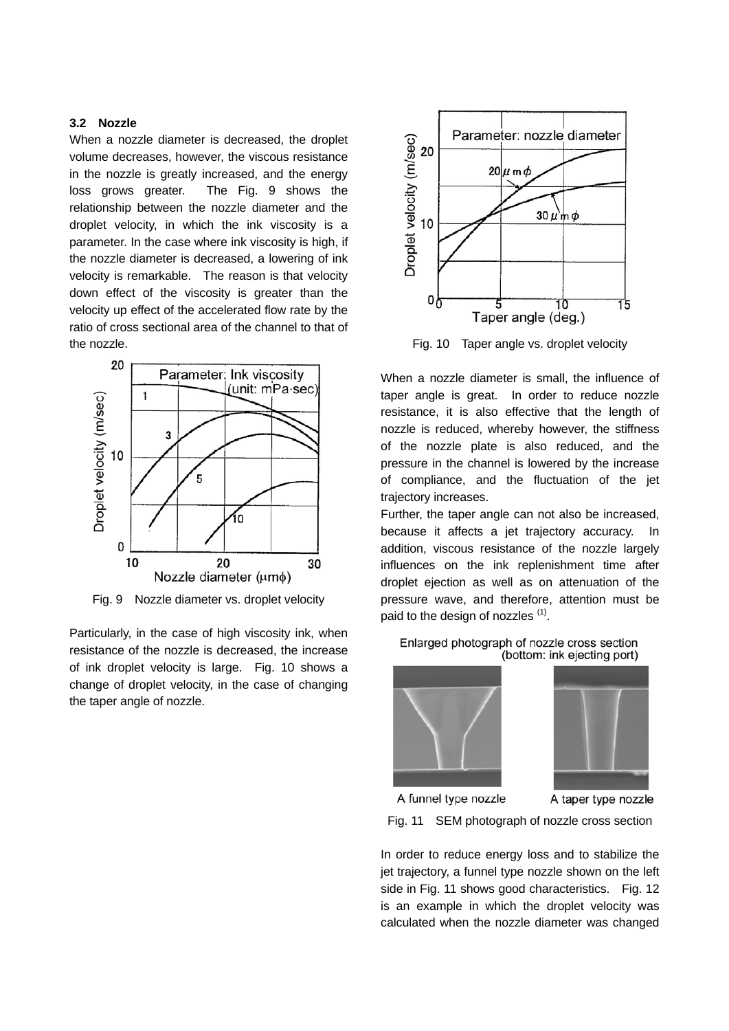# **3.2 Nozzle**

When a nozzle diameter is decreased, the droplet volume decreases, however, the viscous resistance in the nozzle is greatly increased, and the energy loss grows greater. The Fig. 9 shows the relationship between the nozzle diameter and the droplet velocity, in which the ink viscosity is a parameter. In the case where ink viscosity is high, if the nozzle diameter is decreased, a lowering of ink velocity is remarkable. The reason is that velocity down effect of the viscosity is greater than the velocity up effect of the accelerated flow rate by the ratio of cross sectional area of the channel to that of the nozzle.



Fig. 9 Nozzle diameter vs. droplet velocity

Particularly, in the case of high viscosity ink, when resistance of the nozzle is decreased, the increase of ink droplet velocity is large. Fig. 10 shows a change of droplet velocity, in the case of changing the taper angle of nozzle.



Fig. 10 Taper angle vs. droplet velocity

When a nozzle diameter is small, the influence of taper angle is great. In order to reduce nozzle resistance, it is also effective that the length of nozzle is reduced, whereby however, the stiffness of the nozzle plate is also reduced, and the pressure in the channel is lowered by the increase of compliance, and the fluctuation of the jet trajectory increases.

Further, the taper angle can not also be increased, because it affects a jet trajectory accuracy. In addition, viscous resistance of the nozzle largely influences on the ink replenishment time after droplet ejection as well as on attenuation of the pressure wave, and therefore, attention must be paid to the design of nozzles<sup>(1)</sup>.

Enlarged photograph of nozzle cross section (bottom: ink ejecting port)





A funnel type nozzle

A taper type nozzle

Fig. 11 SEM photograph of nozzle cross section

In order to reduce energy loss and to stabilize the jet trajectory, a funnel type nozzle shown on the left side in Fig. 11 shows good characteristics. Fig. 12 is an example in which the droplet velocity was calculated when the nozzle diameter was changed